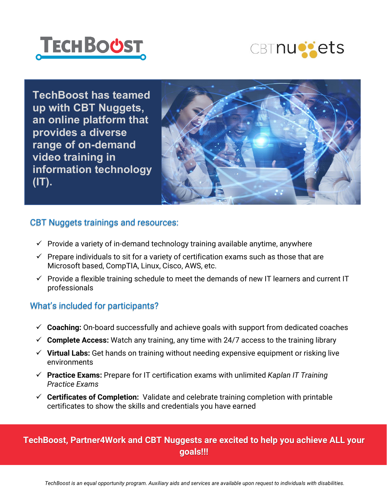



**TechBoost has teamed up with CBT Nuggets, an online platform that provides a diverse range of on-demand video training in information technology (IT).**



#### CBT Nuggets trainings and resources:

- $\checkmark$  Provide a variety of in-demand technology training available anytime, anywhere
- $\checkmark$  Prepare individuals to sit for a variety of certification exams such as those that are Microsoft based, CompTIA, Linux, Cisco, AWS, etc.
- $\checkmark$  Provide a flexible training schedule to meet the demands of new IT learners and current IT professionals

#### What's included for participants?

- **Coaching:** On-board successfully and achieve goals with support from dedicated coaches
- $\checkmark$  Complete Access: Watch any training, any time with 24/7 access to the training library
- **Virtual Labs:** Get hands on training without needing expensive equipment or risking live environments
- **Practice Exams:** Prepare for IT certification exams with unlimited *Kaplan IT Training Practice Exams*
- **Certificates of Completion:** Validate and celebrate training completion with printable certificates to show the skills and credentials you have earned

## **TechBoost, Partner4Work and CBT Nuggests are excited to help you achieve ALL your goals!!!**